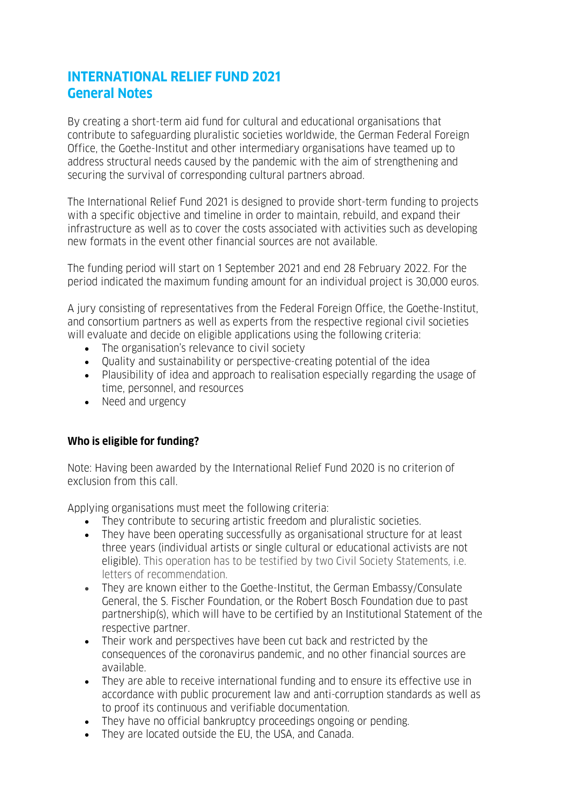## **INTERNATIONAL RELIEF FUND 2021 General Notes**

By creating a short-term aid fund for cultural and educational organisations that contribute to safeguarding pluralistic societies worldwide, the German Federal Foreign Office, the Goethe-Institut and other intermediary organisations have teamed up to address structural needs caused by the pandemic with the aim of strengthening and securing the survival of corresponding cultural partners abroad.

The International Relief Fund 2021 is designed to provide short-term funding to projects with a specific objective and timeline in order to maintain, rebuild, and expand their infrastructure as well as to cover the costs associated with activities such as developing new formats in the event other financial sources are not available.

The funding period will start on 1 September 2021 and end 28 February 2022. For the period indicated the maximum funding amount for an individual project is 30,000 euros.

A jury consisting of representatives from the Federal Foreign Office, the Goethe-Institut, and consortium partners as well as experts from the respective regional civil societies will evaluate and decide on eligible applications using the following criteria:

- The organisation's relevance to civil society
- Quality and sustainability or perspective-creating potential of the idea
- Plausibility of idea and approach to realisation especially regarding the usage of time, personnel, and resources
- Need and urgency

## **Who is eligible for funding?**

Note: Having been awarded by the International Relief Fund 2020 is no criterion of exclusion from this call.

Applying organisations must meet the following criteria:

- They contribute to securing artistic freedom and pluralistic societies.
- They have been operating successfully as organisational structure for at least three years (individual artists or single cultural or educational activists are not eligible). This operation has to be testified by two Civil Society Statements, i.e. letters of recommendation.
- They are known either to the Goethe-Institut, the German Embassy/Consulate General, the S. Fischer Foundation, or the Robert Bosch Foundation due to past partnership(s), which will have to be certified by an Institutional Statement of the respective partner.
- Their work and perspectives have been cut back and restricted by the consequences of the coronavirus pandemic, and no other financial sources are available.
- They are able to receive international funding and to ensure its effective use in accordance with public procurement law and anti-corruption standards as well as to proof its continuous and verifiable documentation.
- They have no official bankruptcy proceedings ongoing or pending.
- They are located outside the EU, the USA, and Canada.